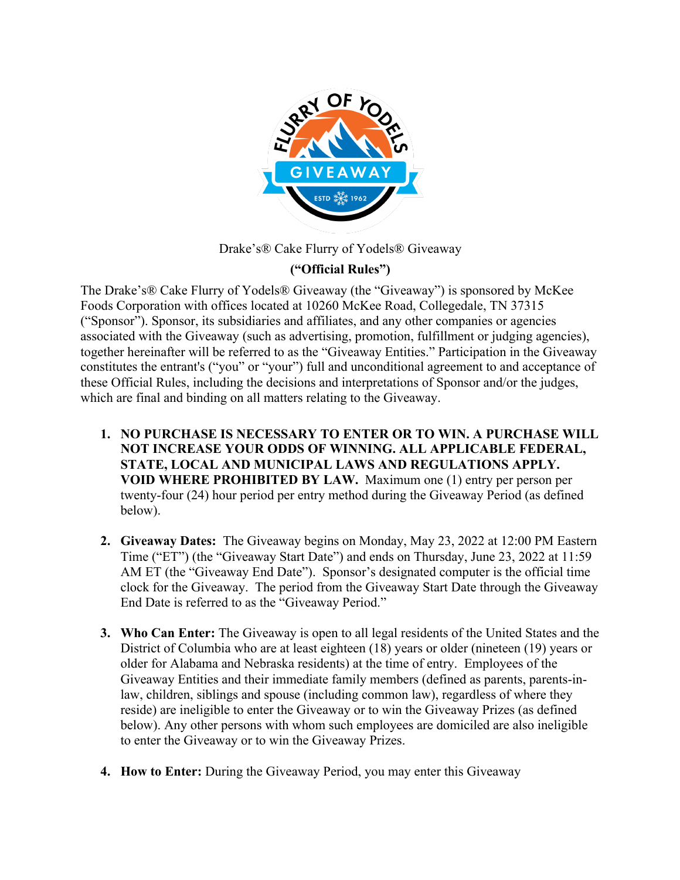

Drake's® Cake Flurry of Yodels® Giveaway

## **("Official Rules")**

The Drake's® Cake Flurry of Yodels® Giveaway (the "Giveaway") is sponsored by McKee Foods Corporation with offices located at 10260 McKee Road, Collegedale, TN 37315 ("Sponsor"). Sponsor, its subsidiaries and affiliates, and any other companies or agencies associated with the Giveaway (such as advertising, promotion, fulfillment or judging agencies), together hereinafter will be referred to as the "Giveaway Entities." Participation in the Giveaway constitutes the entrant's ("you" or "your") full and unconditional agreement to and acceptance of these Official Rules, including the decisions and interpretations of Sponsor and/or the judges, which are final and binding on all matters relating to the Giveaway.

- **1. NO PURCHASE IS NECESSARY TO ENTER OR TO WIN. A PURCHASE WILL NOT INCREASE YOUR ODDS OF WINNING. ALL APPLICABLE FEDERAL, STATE, LOCAL AND MUNICIPAL LAWS AND REGULATIONS APPLY. VOID WHERE PROHIBITED BY LAW.** Maximum one (1) entry per person per twenty-four (24) hour period per entry method during the Giveaway Period (as defined below).
- **2. Giveaway Dates:** The Giveaway begins on Monday, May 23, 2022 at 12:00 PM Eastern Time ("ET") (the "Giveaway Start Date") and ends on Thursday, June 23, 2022 at 11:59 AM ET (the "Giveaway End Date"). Sponsor's designated computer is the official time clock for the Giveaway. The period from the Giveaway Start Date through the Giveaway End Date is referred to as the "Giveaway Period."
- **3. Who Can Enter:** The Giveaway is open to all legal residents of the United States and the District of Columbia who are at least eighteen (18) years or older (nineteen (19) years or older for Alabama and Nebraska residents) at the time of entry. Employees of the Giveaway Entities and their immediate family members (defined as parents, parents-inlaw, children, siblings and spouse (including common law), regardless of where they reside) are ineligible to enter the Giveaway or to win the Giveaway Prizes (as defined below). Any other persons with whom such employees are domiciled are also ineligible to enter the Giveaway or to win the Giveaway Prizes.
- **4. How to Enter:** During the Giveaway Period, you may enter this Giveaway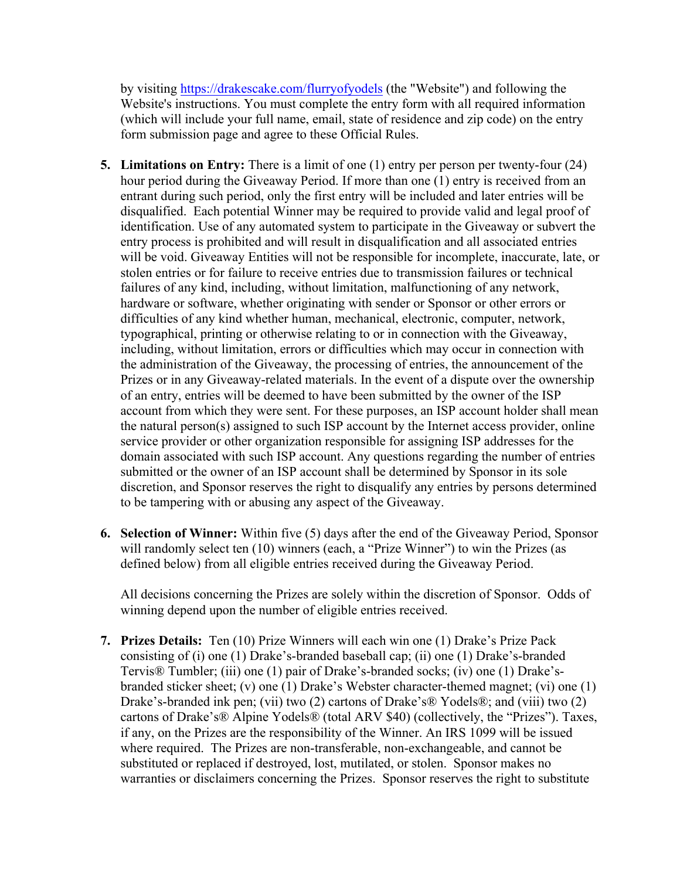by visiting https://drakescake.com/flurryofyodels (the "Website") and following the Website's instructions. You must complete the entry form with all required information (which will include your full name, email, state of residence and zip code) on the entry form submission page and agree to these Official Rules.

- **5. Limitations on Entry:** There is a limit of one (1) entry per person per twenty-four (24) hour period during the Giveaway Period. If more than one (1) entry is received from an entrant during such period, only the first entry will be included and later entries will be disqualified. Each potential Winner may be required to provide valid and legal proof of identification. Use of any automated system to participate in the Giveaway or subvert the entry process is prohibited and will result in disqualification and all associated entries will be void. Giveaway Entities will not be responsible for incomplete, inaccurate, late, or stolen entries or for failure to receive entries due to transmission failures or technical failures of any kind, including, without limitation, malfunctioning of any network, hardware or software, whether originating with sender or Sponsor or other errors or difficulties of any kind whether human, mechanical, electronic, computer, network, typographical, printing or otherwise relating to or in connection with the Giveaway, including, without limitation, errors or difficulties which may occur in connection with the administration of the Giveaway, the processing of entries, the announcement of the Prizes or in any Giveaway-related materials. In the event of a dispute over the ownership of an entry, entries will be deemed to have been submitted by the owner of the ISP account from which they were sent. For these purposes, an ISP account holder shall mean the natural person(s) assigned to such ISP account by the Internet access provider, online service provider or other organization responsible for assigning ISP addresses for the domain associated with such ISP account. Any questions regarding the number of entries submitted or the owner of an ISP account shall be determined by Sponsor in its sole discretion, and Sponsor reserves the right to disqualify any entries by persons determined to be tampering with or abusing any aspect of the Giveaway.
- **6. Selection of Winner:** Within five (5) days after the end of the Giveaway Period, Sponsor will randomly select ten (10) winners (each, a "Prize Winner") to win the Prizes (as defined below) from all eligible entries received during the Giveaway Period.

All decisions concerning the Prizes are solely within the discretion of Sponsor. Odds of winning depend upon the number of eligible entries received.

**7. Prizes Details:** Ten (10) Prize Winners will each win one (1) Drake's Prize Pack consisting of (i) one (1) Drake's-branded baseball cap; (ii) one (1) Drake's-branded Tervis® Tumbler; (iii) one (1) pair of Drake's-branded socks; (iv) one (1) Drake'sbranded sticker sheet; (v) one (1) Drake's Webster character-themed magnet; (vi) one (1) Drake's-branded ink pen; (vii) two (2) cartons of Drake's® Yodels®; and (viii) two (2) cartons of Drake's® Alpine Yodels® (total ARV \$40) (collectively, the "Prizes"). Taxes, if any, on the Prizes are the responsibility of the Winner. An IRS 1099 will be issued where required. The Prizes are non-transferable, non-exchangeable, and cannot be substituted or replaced if destroyed, lost, mutilated, or stolen. Sponsor makes no warranties or disclaimers concerning the Prizes. Sponsor reserves the right to substitute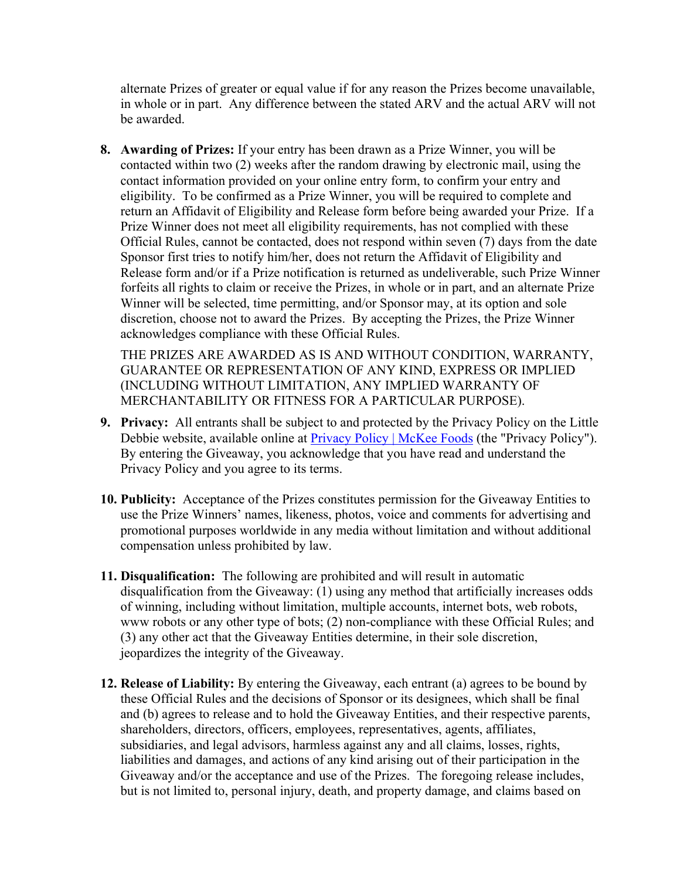alternate Prizes of greater or equal value if for any reason the Prizes become unavailable, in whole or in part. Any difference between the stated ARV and the actual ARV will not be awarded.

**8. Awarding of Prizes:** If your entry has been drawn as a Prize Winner, you will be contacted within two (2) weeks after the random drawing by electronic mail, using the contact information provided on your online entry form, to confirm your entry and eligibility. To be confirmed as a Prize Winner, you will be required to complete and return an Affidavit of Eligibility and Release form before being awarded your Prize. If a Prize Winner does not meet all eligibility requirements, has not complied with these Official Rules, cannot be contacted, does not respond within seven (7) days from the date Sponsor first tries to notify him/her, does not return the Affidavit of Eligibility and Release form and/or if a Prize notification is returned as undeliverable, such Prize Winner forfeits all rights to claim or receive the Prizes, in whole or in part, and an alternate Prize Winner will be selected, time permitting, and/or Sponsor may, at its option and sole discretion, choose not to award the Prizes. By accepting the Prizes, the Prize Winner acknowledges compliance with these Official Rules.

THE PRIZES ARE AWARDED AS IS AND WITHOUT CONDITION, WARRANTY, GUARANTEE OR REPRESENTATION OF ANY KIND, EXPRESS OR IMPLIED (INCLUDING WITHOUT LIMITATION, ANY IMPLIED WARRANTY OF MERCHANTABILITY OR FITNESS FOR A PARTICULAR PURPOSE).

- **9. Privacy:** All entrants shall be subject to and protected by the Privacy Policy on the Little Debbie website, available online at Privacy Policy | McKee Foods (the "Privacy Policy"). By entering the Giveaway, you acknowledge that you have read and understand the Privacy Policy and you agree to its terms.
- **10. Publicity:** Acceptance of the Prizes constitutes permission for the Giveaway Entities to use the Prize Winners' names, likeness, photos, voice and comments for advertising and promotional purposes worldwide in any media without limitation and without additional compensation unless prohibited by law.
- **11. Disqualification:** The following are prohibited and will result in automatic disqualification from the Giveaway: (1) using any method that artificially increases odds of winning, including without limitation, multiple accounts, internet bots, web robots, www robots or any other type of bots; (2) non-compliance with these Official Rules; and (3) any other act that the Giveaway Entities determine, in their sole discretion, jeopardizes the integrity of the Giveaway.
- **12. Release of Liability:** By entering the Giveaway, each entrant (a) agrees to be bound by these Official Rules and the decisions of Sponsor or its designees, which shall be final and (b) agrees to release and to hold the Giveaway Entities, and their respective parents, shareholders, directors, officers, employees, representatives, agents, affiliates, subsidiaries, and legal advisors, harmless against any and all claims, losses, rights, liabilities and damages, and actions of any kind arising out of their participation in the Giveaway and/or the acceptance and use of the Prizes. The foregoing release includes, but is not limited to, personal injury, death, and property damage, and claims based on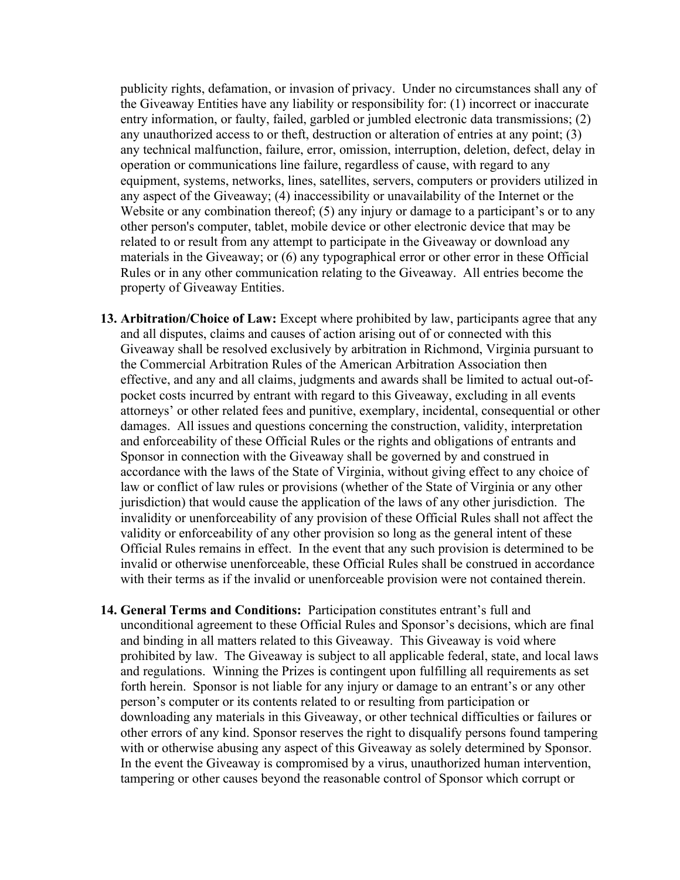publicity rights, defamation, or invasion of privacy. Under no circumstances shall any of the Giveaway Entities have any liability or responsibility for: (1) incorrect or inaccurate entry information, or faulty, failed, garbled or jumbled electronic data transmissions; (2) any unauthorized access to or theft, destruction or alteration of entries at any point; (3) any technical malfunction, failure, error, omission, interruption, deletion, defect, delay in operation or communications line failure, regardless of cause, with regard to any equipment, systems, networks, lines, satellites, servers, computers or providers utilized in any aspect of the Giveaway; (4) inaccessibility or unavailability of the Internet or the Website or any combination thereof; (5) any injury or damage to a participant's or to any other person's computer, tablet, mobile device or other electronic device that may be related to or result from any attempt to participate in the Giveaway or download any materials in the Giveaway; or (6) any typographical error or other error in these Official Rules or in any other communication relating to the Giveaway. All entries become the property of Giveaway Entities.

- **13. Arbitration/Choice of Law:** Except where prohibited by law, participants agree that any and all disputes, claims and causes of action arising out of or connected with this Giveaway shall be resolved exclusively by arbitration in Richmond, Virginia pursuant to the Commercial Arbitration Rules of the American Arbitration Association then effective, and any and all claims, judgments and awards shall be limited to actual out-ofpocket costs incurred by entrant with regard to this Giveaway, excluding in all events attorneys' or other related fees and punitive, exemplary, incidental, consequential or other damages. All issues and questions concerning the construction, validity, interpretation and enforceability of these Official Rules or the rights and obligations of entrants and Sponsor in connection with the Giveaway shall be governed by and construed in accordance with the laws of the State of Virginia, without giving effect to any choice of law or conflict of law rules or provisions (whether of the State of Virginia or any other jurisdiction) that would cause the application of the laws of any other jurisdiction. The invalidity or unenforceability of any provision of these Official Rules shall not affect the validity or enforceability of any other provision so long as the general intent of these Official Rules remains in effect. In the event that any such provision is determined to be invalid or otherwise unenforceable, these Official Rules shall be construed in accordance with their terms as if the invalid or unenforceable provision were not contained therein.
- **14. General Terms and Conditions:** Participation constitutes entrant's full and unconditional agreement to these Official Rules and Sponsor's decisions, which are final and binding in all matters related to this Giveaway. This Giveaway is void where prohibited by law. The Giveaway is subject to all applicable federal, state, and local laws and regulations. Winning the Prizes is contingent upon fulfilling all requirements as set forth herein. Sponsor is not liable for any injury or damage to an entrant's or any other person's computer or its contents related to or resulting from participation or downloading any materials in this Giveaway, or other technical difficulties or failures or other errors of any kind. Sponsor reserves the right to disqualify persons found tampering with or otherwise abusing any aspect of this Giveaway as solely determined by Sponsor. In the event the Giveaway is compromised by a virus, unauthorized human intervention, tampering or other causes beyond the reasonable control of Sponsor which corrupt or